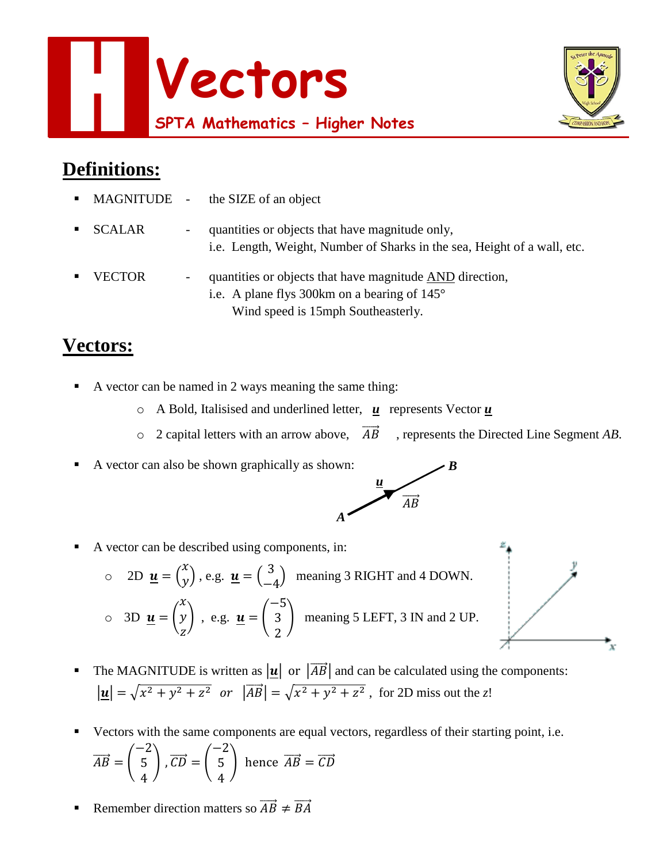



## **Definitions:**

|               |                              | • MAGNITUDE - the SIZE of an object                                                                                                                     |
|---------------|------------------------------|---------------------------------------------------------------------------------------------------------------------------------------------------------|
| ■ SCALAR      | $\qquad \qquad \blacksquare$ | quantities or objects that have magnitude only,<br>i.e. Length, Weight, Number of Sharks in the sea, Height of a wall, etc.                             |
| <b>VECTOR</b> | $\overline{\phantom{a}}$     | quantities or objects that have magnitude AND direction,<br>i.e. A plane flys 300km on a bearing of $145^{\circ}$<br>Wind speed is 15mph Southeasterly. |

## **Vectors:**

- A vector can be named in 2 ways meaning the same thing:
	- o A Bold, Italisised and underlined letter, *u* represents Vector *u*

*A*

- $\circ$  2 capital letters with an arrow above,  $\overrightarrow{AB}$ , represents the Directed Line Segment *AB*.
- A vector can also be shown graphically as shown:



*B*

A vector can be described using components, in:

○ 2D 
$$
\underline{\mathbf{u}} = \begin{pmatrix} x \\ y \end{pmatrix}
$$
, e.g.  $\underline{\mathbf{u}} = \begin{pmatrix} 3 \\ -4 \end{pmatrix}$  meaning 3 RIGHT and 4 DOWN.  
○ 3D  $\underline{\mathbf{u}} = \begin{pmatrix} x \\ y \\ z \end{pmatrix}$ , e.g.  $\underline{\mathbf{u}} = \begin{pmatrix} -5 \\ 3 \\ 2 \end{pmatrix}$  meaning 5 LEFT, 3 IN and 2 UP.

- The MAGNITUDE is written as  $|\mathbf{u}|$  or  $|\overrightarrow{AB}|$  and can be calculated using the components:  $|\mathbf{u}| = \sqrt{x^2 + y^2 + z^2}$  or  $|\overrightarrow{AB}| = \sqrt{x^2 + y^2 + z^2}$ , for 2D miss out the *z*!
- Vectors with the same components are equal vectors, regardless of their starting point, i.e.  $\overrightarrow{AB}$  = ( −2 5 4  $\overrightarrow{CD} =$ −2 5 4 ) hence  $\overrightarrow{AB} = \overrightarrow{CD}$
- Remember direction matters so  $\overrightarrow{AB} \neq \overrightarrow{BA}$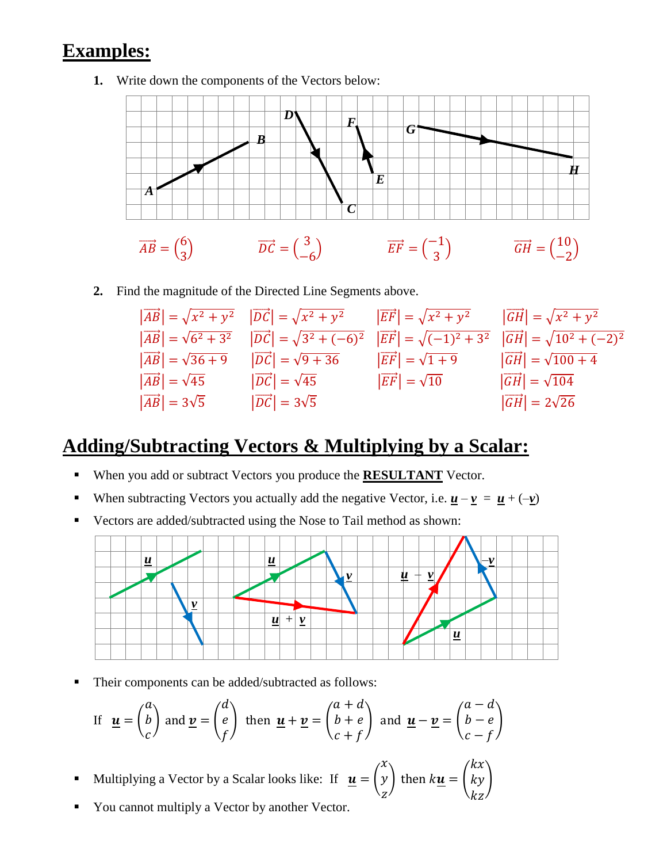## **Examples:**

**1.** Write down the components of the Vectors below:



**2.** Find the magnitude of the Directed Line Segments above.

|                                     | $ \overrightarrow{AB}  = \sqrt{x^2 + y^2}$ $ \overrightarrow{DC}  = \sqrt{x^2 + y^2}$                                                                   | $\left \overrightarrow{EF}\right  = \sqrt{x^2 + y^2}$ $\left \overrightarrow{GH}\right  = \sqrt{x^2 + y^2}$ |                                                                                              |
|-------------------------------------|---------------------------------------------------------------------------------------------------------------------------------------------------------|-------------------------------------------------------------------------------------------------------------|----------------------------------------------------------------------------------------------|
|                                     | $ \overrightarrow{AB}  = \sqrt{6^2 + 3^2}$ $ \overrightarrow{DC}  = \sqrt{3^2 + (-6)^2}$                                                                |                                                                                                             | $ \overrightarrow{EF}  = \sqrt{(-1)^2 + 3^2}$ $ \overrightarrow{GH}  = \sqrt{10^2 + (-2)^2}$ |
|                                     | $ \overrightarrow{AB}  = \sqrt{36+9}$ $ \overrightarrow{DC}  = \sqrt{9+36}$ $ \overrightarrow{EF}  = \sqrt{1+9}$ $ \overrightarrow{GH}  = \sqrt{100+4}$ |                                                                                                             |                                                                                              |
| $ \overrightarrow{AB}  = \sqrt{45}$ | $ \overrightarrow{DC}  = \sqrt{45}$                                                                                                                     | $\left  \overrightarrow{EF} \right  = \sqrt{10}$                                                            | $ \overrightarrow{GH}  = \sqrt{104}$                                                         |
| $ \overrightarrow{AB}  = 3\sqrt{5}$ | $ \overrightarrow{DC}  = 3\sqrt{5}$                                                                                                                     |                                                                                                             | $ \vec{GH}  = 2\sqrt{26}$                                                                    |

## **Adding/Subtracting Vectors & Multiplying by a Scalar:**

- When you add or subtract Vectors you produce the **RESULTANT** Vector.
- When subtracting Vectors you actually add the negative Vector, i.e.  $\underline{\mathbf{u}} \underline{\mathbf{v}} = \underline{\mathbf{u}} + (-\underline{\mathbf{v}})$
- Vectors are added/subtracted using the Nose to Tail method as shown:



**Their components can be added/subtracted as follows:** 

If 
$$
\underline{\mathbf{u}} = \begin{pmatrix} a \\ b \\ c \end{pmatrix}
$$
 and  $\underline{\mathbf{v}} = \begin{pmatrix} d \\ e \\ f \end{pmatrix}$  then  $\underline{\mathbf{u}} + \underline{\mathbf{v}} = \begin{pmatrix} a+d \\ b+e \\ c+f \end{pmatrix}$  and  $\underline{\mathbf{u}} - \underline{\mathbf{v}} = \begin{pmatrix} a-d \\ b-e \\ c-f \end{pmatrix}$ 

- Multiplying a Vector by a Scalar looks like: If  $\mathbf{u} = \begin{bmatrix} 1 \\ 1 \end{bmatrix}$  $\mathcal{X}$  $\mathcal{Y}$ Z ) then  $ku =$  $kx$  $ky$  $kz$ )
- You cannot multiply a Vector by another Vector.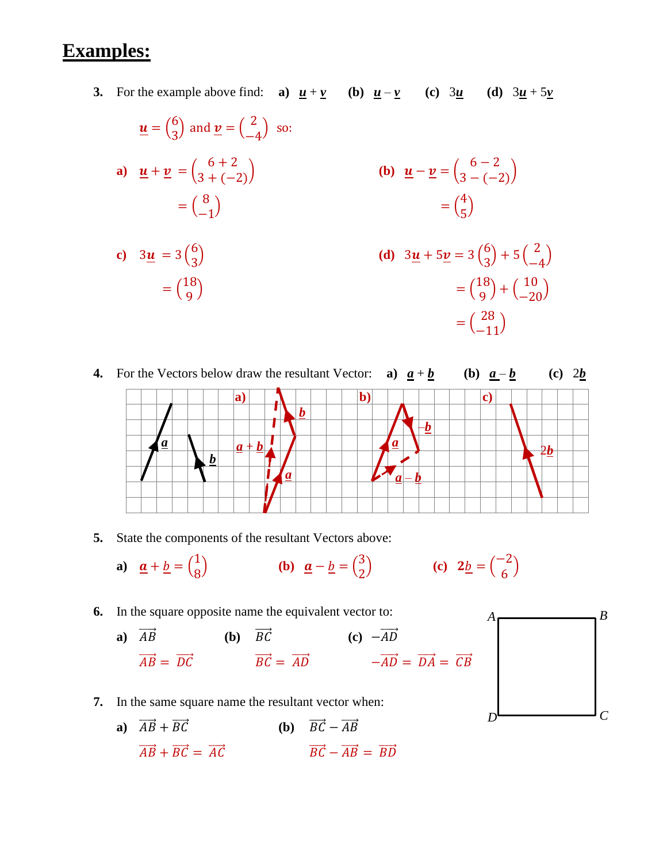## **Examples:**

**3.** For the example above find: **a**)  $\underline{u} + \underline{v}$  (b)  $\underline{u} - \underline{v}$  (c)  $3\underline{u}$  (d)  $3\underline{u} + 5\underline{v}$ 

$$
\mathbf{u} = \begin{pmatrix} 6 \\ 3 \end{pmatrix} \text{ and } \mathbf{v} = \begin{pmatrix} 2 \\ -4 \end{pmatrix} \text{ so:}
$$
  
\n**a)** 
$$
\mathbf{u} + \mathbf{v} = \begin{pmatrix} 6+2 \\ 3+(-2) \end{pmatrix}
$$
  
\n
$$
= \begin{pmatrix} 8 \\ -1 \end{pmatrix}
$$
  
\n**b)** 
$$
\mathbf{u} - \mathbf{v} = \begin{pmatrix} 6-2 \\ 3-(-2) \end{pmatrix}
$$
  
\n
$$
= \begin{pmatrix} 4 \\ 5 \end{pmatrix}
$$
  
\n**c)** 
$$
3\mathbf{u} = 3 \begin{pmatrix} 6 \\ 3 \end{pmatrix}
$$
  
\n**d)** 
$$
3\mathbf{u} + 5\mathbf{v} = 3 \begin{pmatrix} 6 \\ 3 \end{pmatrix} + 5 \begin{pmatrix} 6 \\ 3 \end{pmatrix} + 5 \begin{pmatrix} 6 \\ 3 \end{pmatrix} + 5 \begin{pmatrix} 6 \\ 3 \end{pmatrix} + 5 \begin{pmatrix} 6 \\ 3 \end{pmatrix} + 5 \begin{pmatrix} 6 \\ 3 \end{pmatrix} + 5 \begin{pmatrix} 6 \\ 3 \end{pmatrix} + 5 \begin{pmatrix} 6 \\ 3 \end{pmatrix} + 5 \begin{pmatrix} 6 \\ 3 \end{pmatrix} + 5 \begin{pmatrix} 6 \\ 3 \end{pmatrix} + 5 \begin{pmatrix} 6 \\ 3 \end{pmatrix} + 5 \begin{pmatrix} 6 \\ 3 \end{pmatrix} + 5 \begin{pmatrix} 6 \\ 3 \end{pmatrix} + 5 \begin{pmatrix} 6 \\ 3 \end{pmatrix} + 5 \begin{pmatrix} 6 \\ 3 \end{pmatrix} + 5 \begin{pmatrix} 6 \\ 3 \end{pmatrix} + 5 \begin{pmatrix} 6 \\ 3 \end{pmatrix} + 5 \begin{pmatrix} 6 \\ 3 \end{pmatrix} + 5 \begin{pmatrix} 6 \\ 3 \end{pmatrix} + 5 \begin{pmatrix} 6 \\ 3 \end{pmatrix} + 5 \begin{pmatrix} 6 \\ 3 \end{pmatrix} + 5 \begin{pmatrix} 6 \\ 3 \end{pmatrix} + 5 \begin{pmatrix} 6 \\ 3 \end{pmatrix} + 5 \
$$

$$
\begin{array}{ll} \text{(d)} & 3\underline{u} + 5\underline{v} = 3\binom{6}{3} + 5\binom{2}{-4} \\ & = \binom{18}{9} + \binom{10}{-20} \\ & = \binom{28}{-11} \end{array}
$$



**5.** State the components of the resultant Vectors above:

 $=$  $\binom{18}{0}$ 9

a) 
$$
\underline{\mathbf{a}} + \underline{\mathbf{b}} = \begin{pmatrix} 1 \\ 8 \end{pmatrix}
$$
 (b)  $\underline{\mathbf{a}} - \underline{\mathbf{b}} = \begin{pmatrix} 3 \\ 2 \end{pmatrix}$  (c)  $2\underline{\mathbf{b}} = \begin{pmatrix} -2 \\ 6 \end{pmatrix}$ 

**6.** In the square opposite name the equivalent vector to:

**a)** 
$$
\overrightarrow{AB}
$$
 **(b)**  $\overrightarrow{BC}$  **(c)**  $-\overrightarrow{AD}$   
 $\overrightarrow{AB} = \overrightarrow{DC}$   $\overrightarrow{BC} = \overrightarrow{AD}$   $-\overrightarrow{AD} = \overrightarrow{DA} = \overrightarrow{CB}$ 

- **7.** In the same square name the resultant vector when:
	- **a**)  $\overrightarrow{AB} + \overrightarrow{BC}$  **(b)**  $\overrightarrow{BC} \overrightarrow{AB}$  $\overrightarrow{AB} + \overrightarrow{BC} = \overrightarrow{AC}$   $\overrightarrow{BC} - \overrightarrow{AB} = \overrightarrow{BD}$

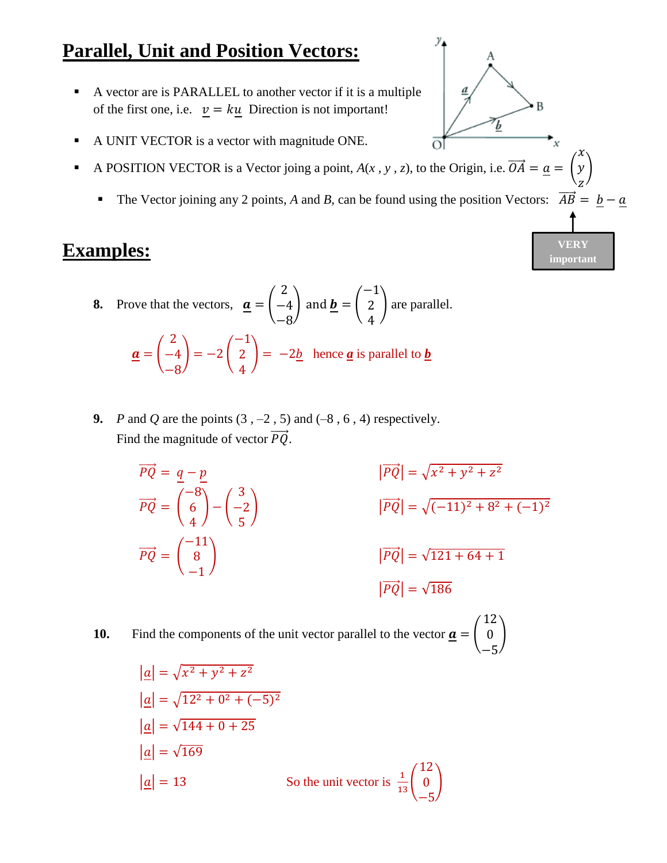## **Parallel, Unit and Position Vectors:**

- A vector are is PARALLEL to another vector if it is a multiple of the first one, i.e.  $v = k\underline{u}$  Direction is not important!
- A UNIT VECTOR is a vector with magnitude ONE.
- A POSITION VECTOR is a Vector joing a point,  $A(x, y, z)$ , to the Origin, i.e.  $\overrightarrow{OA} = \underline{a} = |$ 
	- The Vector joining any 2 points, *A* and *B*, can be found using the position Vectors:  $\overrightarrow{AB} = \underline{b} \underline{a}$

 $\mathcal{X}$  $\mathcal{Y}$ z )

万

ਨਾ

**VERY important**

)

#### **Examples:**

- **8.** Prove that the vectors,  $\mathbf{a} =$ 2 −4 −8 | and  $\mathbf{b} =$  | −1 2 4 ) are parallel.  $a =$ 2 −4 −8  $) = -2$  ( −1 2 4  $\vert = -2b \vert$  hence <u>*a*</u> is parallel to *b*
- **9.** *P* and *Q* are the points  $(3, -2, 5)$  and  $(-8, 6, 4)$  respectively. Find the magnitude of vector  $\overrightarrow{PQ}$ .
	- $\overrightarrow{PQ} = q p$  $y^2 + z^2$  $\overrightarrow{PQ}$  = ( −8 6 4 ) − ( 3 −2 5  $|\overrightarrow{PQ}| = \sqrt{(-11)^2 + 8^2 + (-1)^2}$  $\overrightarrow{PQ}$  = ( −11 8 −1  $|\overrightarrow{PQ}| = \sqrt{121 + 64 + 1}$  $|\overrightarrow{PO}| = \sqrt{186}$

**10.** Find the components of the unit vector parallel to the vector  $\mathbf{a} = |$ 12 0 −5

> $|a| = \sqrt{x^2 + y^2 + z^2}$  $|a| = \sqrt{12^2 + 0^2 + (-5)^2}$  $|a| = \sqrt{144 + 0 + 25}$  $|a| = \sqrt{169}$  $|\underline{a}| = 13$  So the unit vector is  $\frac{1}{13}$ 12  $\boldsymbol{0}$ −5 )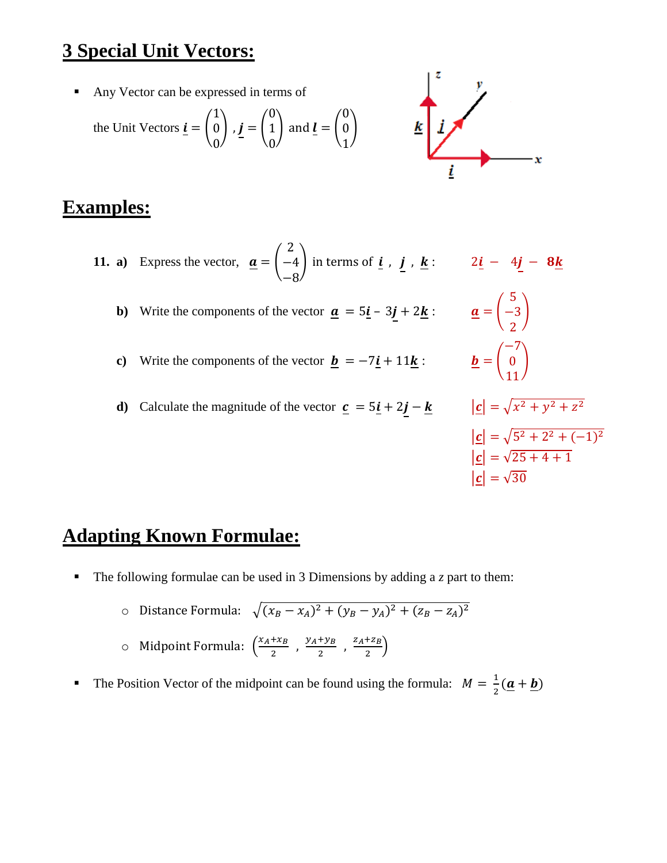## **3 Special Unit Vectors:**

Any Vector can be expressed in terms of

the Unit Vectors 
$$
\underline{\mathbf{i}} = \begin{pmatrix} 1 \\ 0 \\ 0 \end{pmatrix}
$$
,  $\underline{\mathbf{j}} = \begin{pmatrix} 0 \\ 1 \\ 0 \end{pmatrix}$  and  $\underline{\mathbf{l}} = \begin{pmatrix} 0 \\ 0 \\ 1 \end{pmatrix}$ 



#### **Examples:**

- **11. a**) Express the vector,  $\boldsymbol{a} = \begin{bmatrix} \end{bmatrix}$ 2 −4 −8 ) in terms of  $i$ ,  $j$ ,  $k$ :  $2i - 4j - 8k$ **b**) Write the components of the vector  $\mathbf{a} = 5\mathbf{i} - 3\mathbf{j} + 2\mathbf{k}$ :  $\mathbf{a} = \begin{bmatrix} 1 \\ 1 \end{bmatrix}$ 5 −3 2 )
	- **c**) Write the components of the vector  $\mathbf{b} = -7\mathbf{i} + 11\mathbf{k}$ :  $\mathbf{b} = \begin{bmatrix} 1 \\ 1 \end{bmatrix}$
	- **d**) Calculate the magnitude of the vector  $\mathbf{c} = 5\mathbf{i} + 2\mathbf{j} \mathbf{k}$   $|\mathbf{c}| = \sqrt{x^2 + y^2 + z^2}$

−7 0 11 )  $|\mathbf{c}| = \sqrt{5^2 + 2^2 + (-1)^2}$  $|\mathbf{c}| = \sqrt{25 + 4 + 1}$  $|c| = \sqrt{30}$ 

## **Adapting Known Formulae:**

- The following formulae can be used in 3 Dimensions by adding a *z* part to them:
	- o Distance Formula:  $\sqrt{(x_B x_A)^2 + (y_B y_A)^2 + (z_B z_A)^2}$  $\circ$  Midpoint Formula:  $\left(\frac{x_A + x_B}{2}\right)$  $\frac{+x_B}{2}$ ,  $\frac{y_A + y_B}{2}$  $\frac{+y_B}{2}$ ,  $\frac{z_A+z_B}{2}$  $\frac{\tau_{2B}}{2}\Big)$
- The Position Vector of the midpoint can be found using the formula:  $M = \frac{1}{3}$  $\frac{1}{2}(\underline{a}+\underline{b})$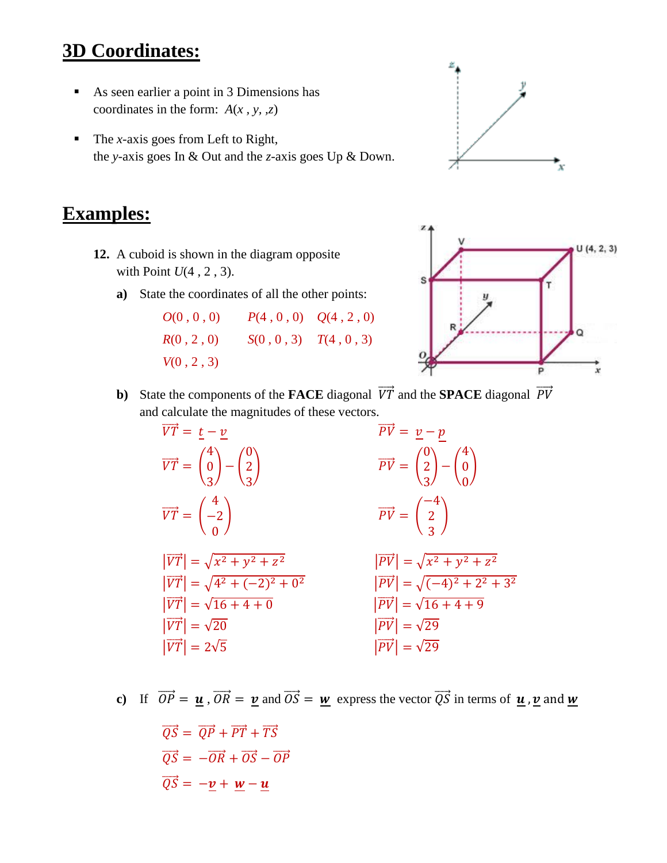## **3D Coordinates:**

- As seen earlier a point in 3 Dimensions has coordinates in the form: *A*(*x , y, ,z*)
- The *x*-axis goes from Left to Right, the *y*-axis goes In & Out and the *z*-axis goes Up & Down.

#### **Examples:**

- **12.** A cuboid is shown in the diagram opposite with Point *U*(4 , 2 , 3).
	- **a)** State the coordinates of all the other points:

| O(0,0,0)   | $P(4, 0, 0)$ $Q(4, 2, 0)$ |
|------------|---------------------------|
| R(0, 2, 0) | $S(0, 0, 3)$ $T(4, 0, 3)$ |
| V(0, 2, 3) |                           |



p

x

**b**) State the components of the **FACE** diagonal  $\overrightarrow{VT}$  and the **SPACE** diagonal  $\overrightarrow{PV}$ and calculate the magnitudes of these vectors.



**c)** If  $\overrightarrow{OP} = u$ ,  $\overrightarrow{OR} = v$  and  $\overrightarrow{OS} = w$  express the vector  $\overrightarrow{QS}$  in terms of  $u$ ,  $v$  and  $w$ 

 $\overrightarrow{OS} = \overrightarrow{OP} + \overrightarrow{PT} + \overrightarrow{TS}$  $\overrightarrow{OS} = -\overrightarrow{OR} + \overrightarrow{OS} - \overrightarrow{OP}$  $\overrightarrow{QS} = -v + w - u$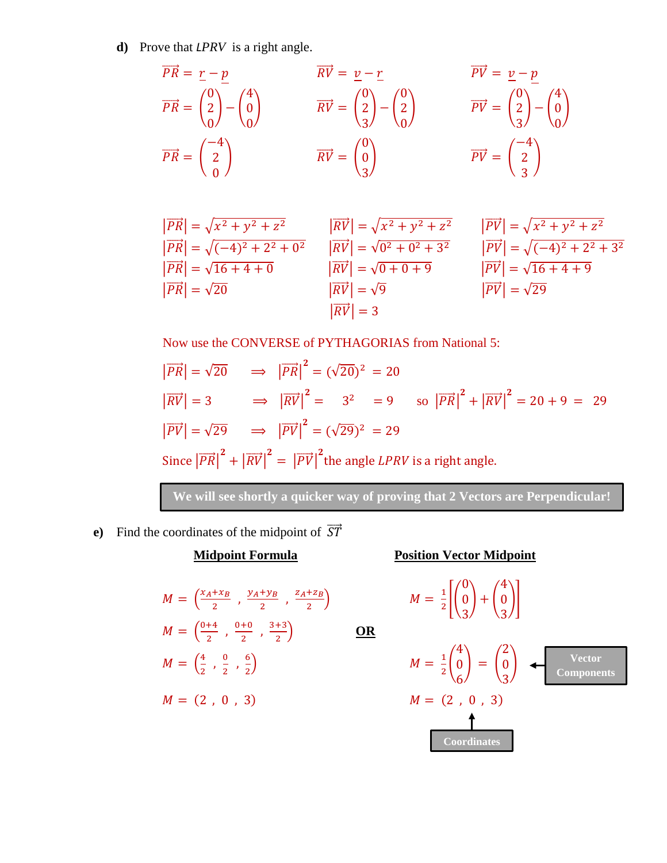**d)** Prove that *LPRV* is a right angle.

$$
\overrightarrow{PR} = \frac{r - p}{2}
$$
  
\n
$$
\overrightarrow{PR} = \begin{pmatrix} 0 \\ 2 \\ 0 \end{pmatrix} - \begin{pmatrix} 4 \\ 0 \\ 0 \end{pmatrix}
$$
  
\n
$$
\overrightarrow{RV} = \begin{pmatrix} 0 \\ 2 \\ 3 \end{pmatrix} - \begin{pmatrix} 0 \\ 2 \\ 0 \end{pmatrix}
$$
  
\n
$$
\overrightarrow{PV} = \begin{pmatrix} 0 \\ 2 \\ 3 \end{pmatrix} - \begin{pmatrix} 0 \\ 2 \\ 0 \end{pmatrix}
$$
  
\n
$$
\overrightarrow{PV} = \begin{pmatrix} 0 \\ 2 \\ 3 \end{pmatrix} - \begin{pmatrix} 4 \\ 0 \\ 0 \end{pmatrix}
$$
  
\n
$$
\overrightarrow{PV} = \begin{pmatrix} -4 \\ 2 \\ 3 \end{pmatrix}
$$
  
\n
$$
\overrightarrow{PV} = \begin{pmatrix} -4 \\ 2 \\ 3 \end{pmatrix}
$$

$$
\begin{aligned}\n|\overrightarrow{PR}| &= \sqrt{x^2 + y^2 + z^2} & |\overrightarrow{RV}| &= \sqrt{x^2 + y^2 + z^2} & |\overrightarrow{PV}| &= \sqrt{x^2 + y^2 + z^2} \\
|\overrightarrow{PR}| &= \sqrt{(-4)^2 + 2^2 + 0^2} & |\overrightarrow{RV}| &= \sqrt{0^2 + 0^2 + 3^2} & |\overrightarrow{PV}| &= \sqrt{(-4)^2 + 2^2 + 3^2} \\
|\overrightarrow{PR}| &= \sqrt{16 + 4 + 0} & |\overrightarrow{RV}| &= \sqrt{0 + 0 + 9} & |\overrightarrow{PV}| &= \sqrt{16 + 4 + 9} \\
|\overrightarrow{PR}| &= \sqrt{20} & |\overrightarrow{RV}| &= \sqrt{9} & |\overrightarrow{PV}| &= \sqrt{29} \\
|\overrightarrow{RV}| &= 3 & \n\end{aligned}
$$

Now use the CONVERSE of PYTHAGORIAS from National 5:

$$
|\overrightarrow{PR}| = \sqrt{20} \implies |\overrightarrow{PR}|^2 = (\sqrt{20})^2 = 20
$$
  
\n
$$
|\overrightarrow{RV}| = 3 \implies |\overrightarrow{RV}|^2 = 3^2 = 9 \text{ so } |\overrightarrow{PR}|^2 + |\overrightarrow{RV}|^2 = 20 + 9 = 29
$$
  
\n
$$
|\overrightarrow{PV}| = \sqrt{29} \implies |\overrightarrow{PV}|^2 = (\sqrt{29})^2 = 29
$$
  
\nSince  $|\overrightarrow{PR}|^2 + |\overrightarrow{RV}|^2 = |\overrightarrow{PV}|^2$  the angle *LPRV* is a right angle.

**We will see shortly a quicker way of proving that 2 Vectors are Perpendicular!**

) **OR**

**e**) Find the coordinates of the midpoint of  $\overrightarrow{ST}$ 

#### $M = \left(\frac{x_A + x_B}{2}\right)$  $\frac{+x_B}{2}$ ,  $\frac{y_A+y_B}{2}$  $\frac{+y_B}{2}$ ,  $\frac{z_A+z_B}{2}$ 2  $M = \frac{0+4}{2}$  $\frac{+4}{2}$ ,  $\frac{0+0}{2}$  $\frac{+0}{2}$ ,  $\frac{3+3}{2}$ 2  $M = \frac{4}{3}$  $\frac{4}{2}$ ,  $\frac{0}{2}$  $\frac{0}{2}$ ,  $\frac{6}{2}$ 2 )  $M =$  $M = (2, 0, 3)$

**Midpoint Formula Position Vector Midpoint**

$$
M = \frac{1}{2} \left[ \begin{pmatrix} 0 \\ 0 \\ 3 \end{pmatrix} + \begin{pmatrix} 4 \\ 0 \\ 3 \end{pmatrix} \right]
$$

1 2 ( 4 0 6 ) = ( 2 0 3 ) **Vector Components Coordinates**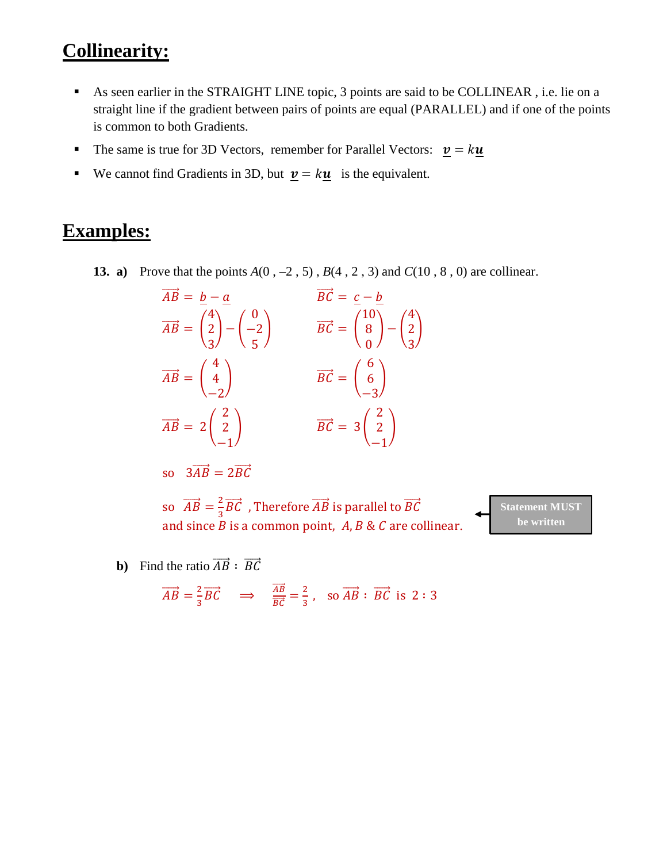## **Collinearity:**

- As seen earlier in the STRAIGHT LINE topic, 3 points are said to be COLLINEAR , i.e. lie on a straight line if the gradient between pairs of points are equal (PARALLEL) and if one of the points is common to both Gradients.
- The same is true for 3D Vectors, remember for Parallel Vectors:  $\mathbf{v} = k\mathbf{u}$
- We cannot find Gradients in 3D, but  $\underline{v} = k\underline{u}$  is the equivalent.

#### **Examples:**

**13. a)** Prove that the points *A*(0 , –2 , 5) , *B*(4 , 2 , 3) and *C*(10 , 8 , 0) are collinear.

| $\overrightarrow{AB} = b - a$                                                                                  | $\overrightarrow{BC} = c - b$                                                                                  |
|----------------------------------------------------------------------------------------------------------------|----------------------------------------------------------------------------------------------------------------|
| $\overrightarrow{AB} = \begin{pmatrix} 4 \\ 2 \\ 3 \end{pmatrix} - \begin{pmatrix} 0 \\ -2 \\ 5 \end{pmatrix}$ | $\overrightarrow{BC} = \begin{pmatrix} 10 \\ 8 \\ 0 \end{pmatrix} - \begin{pmatrix} 4 \\ 2 \\ 3 \end{pmatrix}$ |
| $\overrightarrow{AB} = \begin{pmatrix} 4 \\ 4 \\ -2 \end{pmatrix}$                                             | $\overrightarrow{BC} = \begin{pmatrix} 6 \\ 6 \\ -3 \end{pmatrix}$                                             |
| $\overrightarrow{AB} = 2\begin{pmatrix} 2\\2\\-1 \end{pmatrix}$                                                | $\overrightarrow{BC} = 3\begin{pmatrix} 2\\ 2\\ -1 \end{pmatrix}$                                              |

so 
$$
3\overrightarrow{AB} = 2\overrightarrow{BC}
$$

so  $\overrightarrow{AB} = \frac{2}{3}$  $\frac{2}{3}\overrightarrow{BC}$  , Therefore  $\overrightarrow{AB}$  is parallel to  $\overrightarrow{BC}$ and since  $B$  is a common point,  $A, B \& C$  are collinear. **Statement MUST be written**

**b**) Find the ratio  $\overrightarrow{AB}$  :  $\overrightarrow{BC}$ 

$$
\overrightarrow{AB} = \frac{2}{3}\overrightarrow{BC} \implies \frac{\overrightarrow{AB}}{\overrightarrow{BC}} = \frac{2}{3}, \text{ so } \overrightarrow{AB} : \overrightarrow{BC} \text{ is } 2 : 3
$$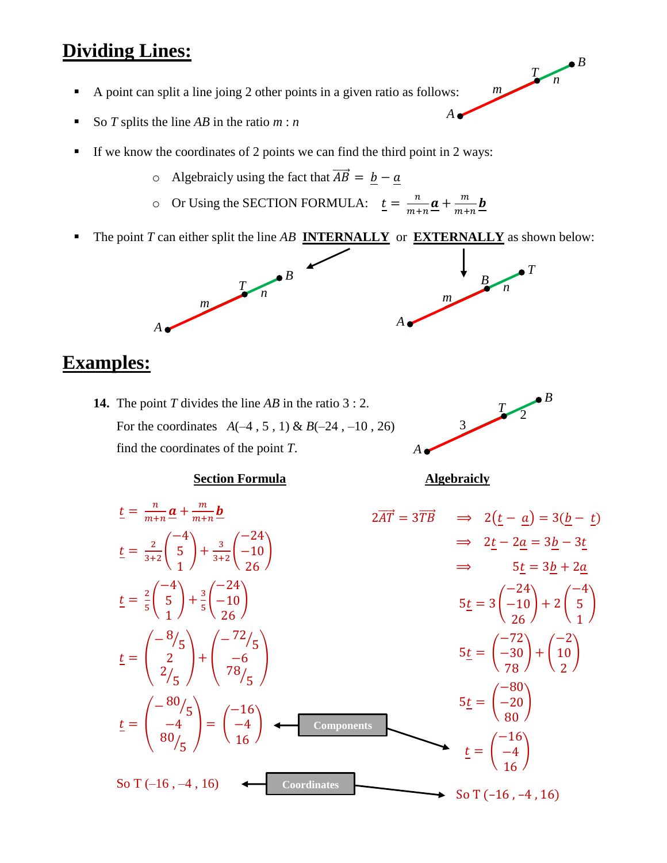#### **Dividing Lines:**

- A point can split a line joing 2 other points in a given ratio as follows:
- So *T* splits the line *AB* in the ratio *m* : *n*
- If we know the coordinates of 2 points we can find the third point in 2 ways:
	- o Algebraicly using the fact that  $\overrightarrow{AB} = \underline{b} \underline{a}$
	- $\circ$  Or Using the SECTION FORMULA:  $t = \frac{n}{m}$  $\frac{n}{m+n} \underline{\boldsymbol{a}} + \frac{m}{m+n}$  $\frac{m}{m+n}$ **b**
- The point *T* can either split the line *AB* **INTERNALLY** or **EXTERNALLY** as shown below:



#### **Examples:**

**14.** The point *T* divides the line *AB* in the ratio 3 : 2. For the coordinates *A*(–4 , 5 , 1) & *B*(–24 , –10 , 26) find the coordinates of the point *T*.



#### **Section Formula Algebraicly**



*A*

*B*

*T*

*T*

*n*

*m*

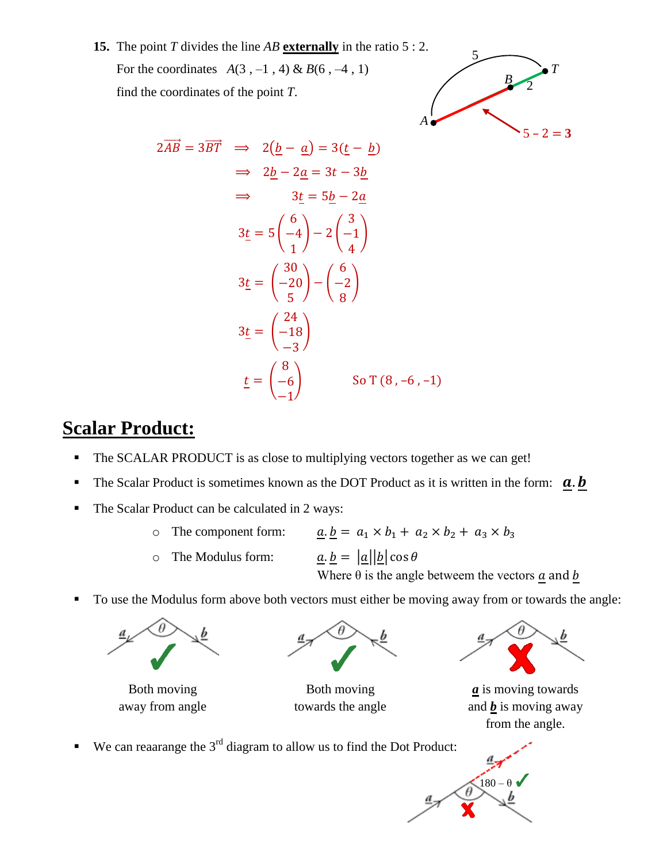**15.** The point *T* divides the line *AB* **externally** in the ratio 5 : 2. For the coordinates  $A(3, -1, 4) \& B(6, -4, 1)$ find the coordinates of the point *T*.



$$
2\overrightarrow{AB} = 3\overrightarrow{BT} \implies 2(\underline{b} - \underline{a}) = 3(\underline{t} - \underline{b})
$$
  
\n
$$
\implies 2\underline{b} - 2\underline{a} = 3t - 3\underline{b}
$$
  
\n
$$
\implies 3\underline{t} = 5\underline{b} - 2\underline{a}
$$
  
\n
$$
3\underline{t} = 5\begin{pmatrix} 6 \\ -4 \\ 1 \end{pmatrix} - 2\begin{pmatrix} 3 \\ -1 \\ 4 \end{pmatrix}
$$
  
\n
$$
3\underline{t} = \begin{pmatrix} 30 \\ -20 \\ 5 \end{pmatrix} - \begin{pmatrix} 6 \\ -2 \\ 8 \end{pmatrix}
$$
  
\n
$$
3\underline{t} = \begin{pmatrix} 24 \\ -18 \\ -3 \end{pmatrix}
$$
  
\n
$$
\underline{t} = \begin{pmatrix} 8 \\ -6 \\ -1 \end{pmatrix}
$$
 So T (8, -6, -1)

## **Scalar Product:**

- The SCALAR PRODUCT is as close to multiplying vectors together as we can get!
- The Scalar Product is sometimes known as the DOT Product as it is written in the form:  $\mathbf{a} \cdot \mathbf{b}$
- The Scalar Product can be calculated in 2 ways:
	- o The component form:  $\underline{a} \cdot \underline{b} = a_1 \times b_1 + a_2 \times b_2 + a_3 \times b_3$
	- o The Modulus form:  $a \cdot b = |a||b| \cos \theta$

Where  $\theta$  is the angle betweem the vectors  $\underline{a}$  and  $\underline{b}$ 

To use the Modulus form above both vectors must either be moving away from or towards the angle:





Both moving **Both moving** *a* is moving towards away from angle towards the angle and  $\underline{b}$  is moving away from the angle.

 $180 - \theta$ 

We can reaarange the  $3<sup>rd</sup>$  diagram to allow us to find the Dot Product: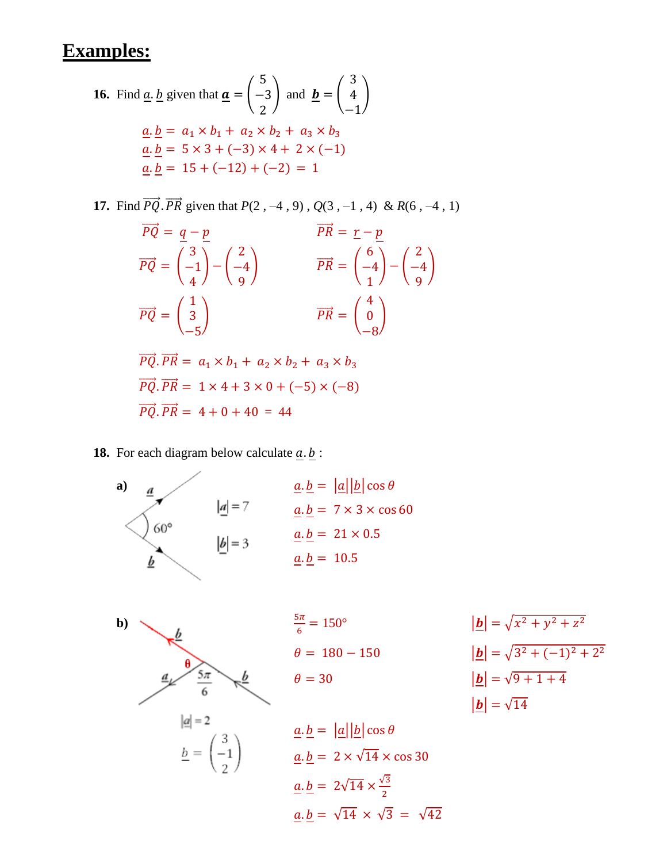### **Examples:**

**16.** Find a. b given that 
$$
\mathbf{a} = \begin{pmatrix} 5 \\ -3 \\ 2 \end{pmatrix}
$$
 and  $\mathbf{b} = \begin{pmatrix} 3 \\ 4 \\ -1 \end{pmatrix}$   
\n $\mathbf{a} \cdot \mathbf{b} = a_1 \times b_1 + a_2 \times b_2 + a_3 \times b_3$   
\n $\mathbf{a} \cdot \mathbf{b} = 5 \times 3 + (-3) \times 4 + 2 \times (-1)$   
\n $\mathbf{a} \cdot \mathbf{b} = 15 + (-12) + (-2) = 1$ 

**17.** Find  $\overrightarrow{PQ}$ ,  $\overrightarrow{PR}$  given that  $P(2, -4, 9)$ ,  $Q(3, -1, 4)$  &  $R(6, -4, 1)$ 

$$
\overrightarrow{PQ} = \frac{q - p}{\left(\frac{3}{4}\right) - \left(\frac{2}{9}\right)}
$$
  
\n
$$
\overrightarrow{PR} = \frac{r - p}{\left(\frac{4}{4}\right) - \left(\frac{2}{9}\right)}
$$
  
\n
$$
\overrightarrow{PR} = \left(\frac{6}{4}\right) - \left(\frac{2}{9}\right)
$$
  
\n
$$
\overrightarrow{PR} = \left(\frac{4}{0}\right)
$$
  
\n
$$
\overrightarrow{PR} = \left(\frac{4}{0}\right)
$$

$$
\overrightarrow{PQ} \cdot \overrightarrow{PR} = a_1 \times b_1 + a_2 \times b_2 + a_3 \times b_3
$$
  
\n
$$
\overrightarrow{PQ} \cdot \overrightarrow{PR} = 1 \times 4 + 3 \times 0 + (-5) \times (-8)
$$
  
\n
$$
\overrightarrow{PQ} \cdot \overrightarrow{PR} = 4 + 0 + 40 = 44
$$

**18.** For each diagram below calculate  $\underline{a} \cdot \underline{b}$ :

a)  
\n
$$
\underline{a} \cdot \underline{b} = |\underline{a}||\underline{b}| \cos \theta
$$
\n
$$
\underline{a} \cdot \underline{b} = 7 \times 3 \times \cos 60
$$
\n
$$
\underline{b}| = 3
$$
\n
$$
\underline{a} \cdot \underline{b} = 21 \times 0.5
$$
\n
$$
\underline{a} \cdot \underline{b} = 10.5
$$

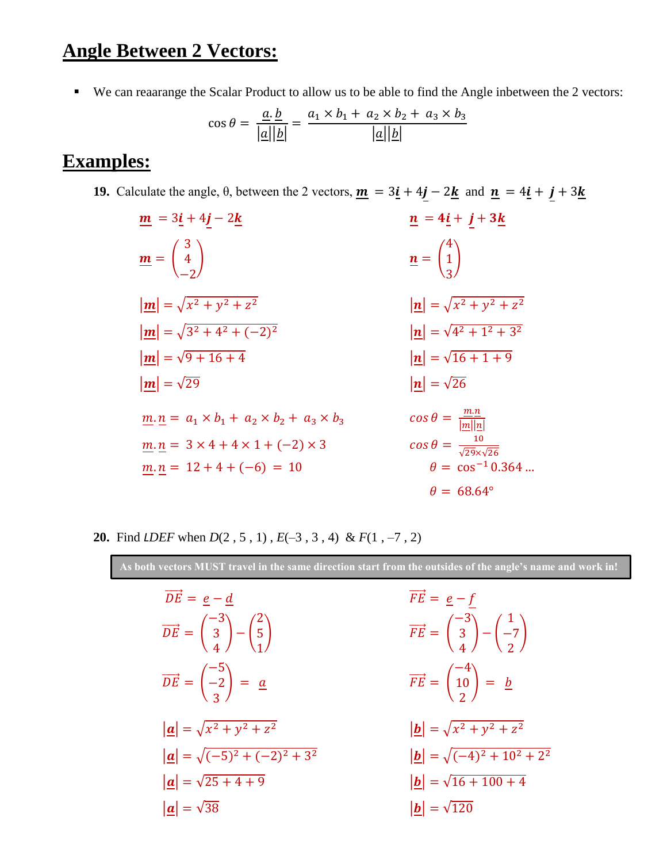## **Angle Between 2 Vectors:**

We can reaarange the Scalar Product to allow us to be able to find the Angle inbetween the 2 vectors:

$$
\cos \theta = \frac{\underline{a} \cdot \underline{b}}{|\underline{a}||\underline{b}|} = \frac{a_1 \times b_1 + a_2 \times b_2 + a_3 \times b_3}{|\underline{a}||\underline{b}|}
$$

#### **Examples:**

- **19.** Calculate the angle,  $\theta$ , between the 2 vectors,  $\underline{\mathbf{m}} = 3\underline{\mathbf{i}} + 4\underline{\mathbf{j}} 2\underline{\mathbf{k}}$  and  $\underline{\mathbf{n}} = 4\underline{\mathbf{i}} + \underline{\mathbf{j}} + 3\underline{\mathbf{k}}$ 
	- $\underline{m} = 3\underline{i} + 4j 2\underline{k}$   $\underline{n} = 4\underline{i} + j + 3\underline{k}$  $m = |$ 3 4 −2 ) and  $n =$ 4 1 3 )  $|m| = \sqrt{x^2 + y^2 + z^2}$ 2  $|\mathbf{n}| = \sqrt{x^2 + y^2 + z^2}$  $|m| = \sqrt{3^2 + 4^2 + (-2)}$  $|\mathbf{n}| = \sqrt{4^2 + 1^2 + 3^2}$  $|\mathbf{m}| = \sqrt{9 + 16 + 4}$   $|\mathbf{n}| = \sqrt{16 + 1 + 9}$  $|m| = \sqrt{29}$   $|n| = \sqrt{26}$  $\underline{m}.\underline{n} = a_1 \times b_1 + a_2 \times b_2 + a_3 \times b_3$  $m.n$  $|m||n|$  $m.n = 3 \times 4 + 4 \times 1 + (-2) \times 3$ 10 √29×√26  $m.n = 12 + 4 + (-6) = 10$   $\theta = \cos^{-1} 0.364$  …  $\theta = 68.64^{\circ}$
- **20.** Find *LDEF* when *D*(2 , 5 , 1) , *E*(–3 , 3 , 4) & *F*(1 , –7 , 2)

**As both vectors MUST travel in the same direction start from the outsides of the angle's name and work in!**

| $\overrightarrow{DE} = e - d$                                                                                  | $\overrightarrow{FE} = \underline{e} - f$                                                                       |
|----------------------------------------------------------------------------------------------------------------|-----------------------------------------------------------------------------------------------------------------|
| $\overrightarrow{DE} = \begin{pmatrix} -3 \\ 3 \\ 4 \end{pmatrix} - \begin{pmatrix} 2 \\ 5 \\ 1 \end{pmatrix}$ | $\overrightarrow{FE} = \begin{pmatrix} -3 \\ 3 \\ 4 \end{pmatrix} - \begin{pmatrix} 1 \\ -7 \\ 2 \end{pmatrix}$ |
| $\overrightarrow{DE} = \begin{pmatrix} -5 \\ -2 \\ 3 \end{pmatrix} = \underline{a}$                            | $\overrightarrow{FE} = \begin{pmatrix} -4 \\ 10 \\ 2 \end{pmatrix} = \underline{b}$                             |
| $ \underline{a}  = \sqrt{x^2 + y^2 + z^2}$                                                                     | $ \underline{\bm{b}}  = \sqrt{x^2 + y^2 + z^2}$                                                                 |
| $ \mathbf{a}  = \sqrt{(-5)^2 + (-2)^2 + 3^2}$                                                                  | $ \underline{\mathbf{b}}  = \sqrt{(-4)^2 + 10^2 + 2^2}$                                                         |
| $ \underline{a}  = \sqrt{25 + 4 + 9}$                                                                          | $ \underline{\mathbf{b}}  = \sqrt{16 + 100 + 4}$                                                                |
| $ \boldsymbol{a} =\sqrt{38}$                                                                                   | $ b  = \sqrt{120}$                                                                                              |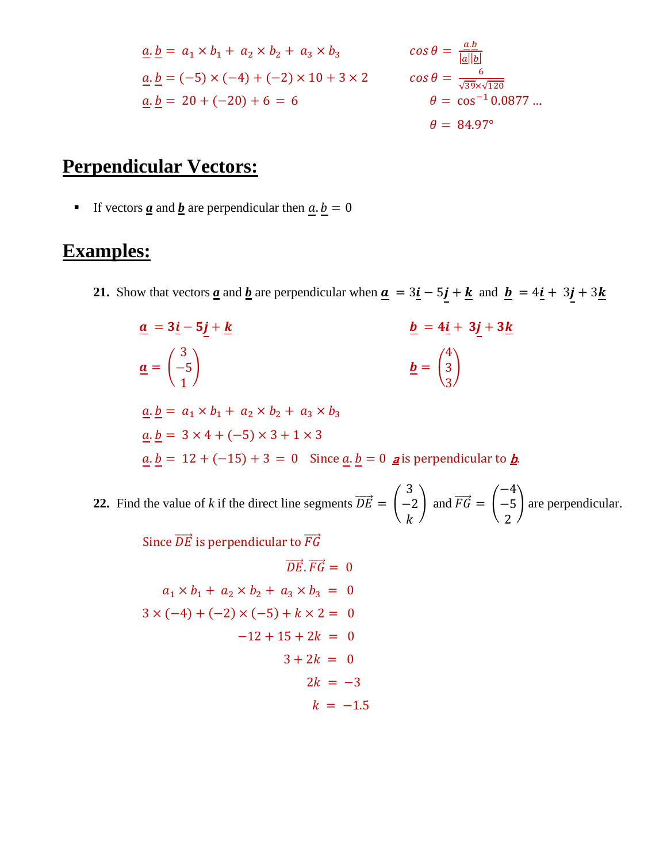$$
\underline{a}.\underline{b} = a_1 \times b_1 + a_2 \times b_2 + a_3 \times b_3 \qquad \cos \theta = \frac{\underline{a}.\underline{b}}{|\underline{a}||\underline{b}|} \n\underline{a}.\underline{b} = (-5) \times (-4) + (-2) \times 10 + 3 \times 2 \qquad \cos \theta = \frac{6}{\sqrt{39} \times \sqrt{120}} \n\underline{a}.\underline{b} = 20 + (-20) + 6 = 6 \qquad \theta = \cos^{-1} 0.0877 \dots \n\theta = 84.97^{\circ}
$$

## **Perpendicular Vectors:**

If vectors <u>*a*</u> and **<u>***b*</u> are perpendicular then  $\underline{a} \cdot \underline{b} = 0$ 

# **Examples:**

**21.** Show that vectors <u>*a*</u> and <u>*b*</u> are perpendicular when  $\mathbf{a} = 3\mathbf{i} - 5\mathbf{j} + \mathbf{k}$  and  $\mathbf{b} = 4\mathbf{i} + 3\mathbf{j} + 3\mathbf{k}$ 

$$
\underline{a} = 3\underline{i} - 5\underline{j} + \underline{k}
$$
\n
$$
\underline{b} = 4\underline{i} + 3\underline{j} + 3\underline{k}
$$
\n
$$
\underline{a} = \begin{pmatrix} 3 \\ -5 \\ 1 \end{pmatrix}
$$
\n
$$
\underline{b} = \begin{pmatrix} 4 \\ 3 \\ 3 \end{pmatrix}
$$
\n
$$
\underline{a} \cdot \underline{b} = a_1 \times b_1 + a_2 \times b_2 + a_3 \times b_3
$$
\n
$$
\underline{a} \cdot \underline{b} = 3 \times 4 + (-5) \times 3 + 1 \times 3
$$
\n
$$
\underline{a} \cdot \underline{b} = 12 + (-15) + 3 = 0
$$
\nSince  $\underline{a} \cdot \underline{b} = 0$   $\underline{a}$  is perpendicular to  $\underline{b}$ .

**22.** Find the value of *k* if the direct line segments  $\overrightarrow{DE} = \begin{bmatrix} 1 \\ 1 \end{bmatrix}$ 3 −2  $\boldsymbol{k}$ ) and  $\overrightarrow{FG} = \vert$ −4 −5 2 ) are perpendicular.

Since  $\overrightarrow{DE}$  is perpendicular to  $\overrightarrow{FG}$ 

$$
\overline{DE} \cdot \overline{FG} = 0
$$
  
\n $a_1 \times b_1 + a_2 \times b_2 + a_3 \times b_3 = 0$   
\n $3 \times (-4) + (-2) \times (-5) + k \times 2 = 0$   
\n $-12 + 15 + 2k = 0$   
\n $3 + 2k = 0$   
\n $2k = -3$   
\n $k = -1.5$